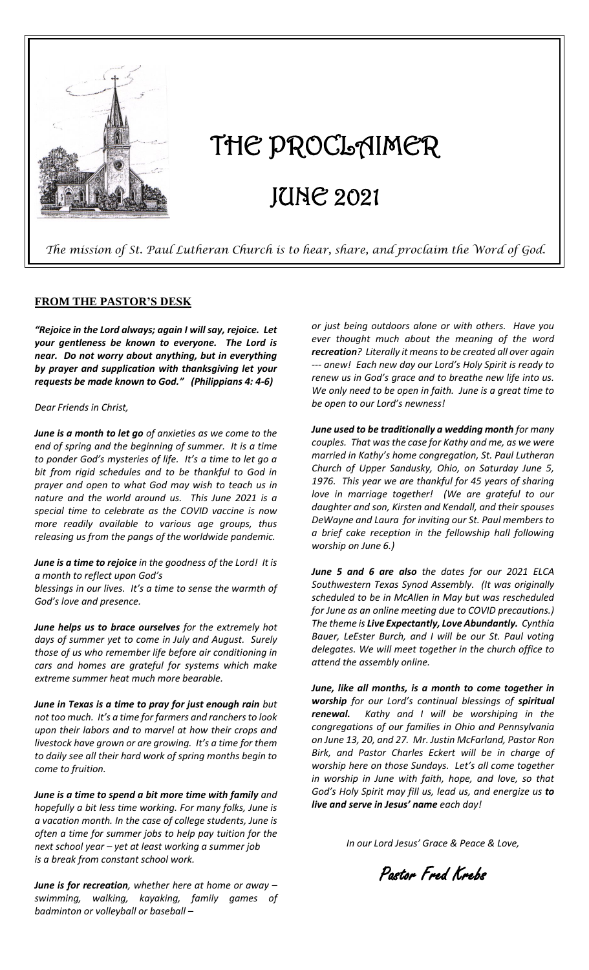

# THE PROCLAIMER JUNE 2021

 *The mission of St. Paul Lutheran Church is to hear, share, and proclaim the Word of God.* 

#### **FROM THE PASTOR'S DESK**

*"Rejoice in the Lord always; again I will say, rejoice. Let your gentleness be known to everyone. The Lord is near. Do not worry about anything, but in everything by prayer and supplication with thanksgiving let your requests be made known to God." (Philippians 4: 4-6)*

#### *Dear Friends in Christ,*

*June is a month to let go of anxieties as we come to the end of spring and the beginning of summer. It is a time to ponder God's mysteries of life. It's a time to let go a bit from rigid schedules and to be thankful to God in prayer and open to what God may wish to teach us in nature and the world around us. This June 2021 is a special time to celebrate as the COVID vaccine is now more readily available to various age groups, thus releasing us from the pangs of the worldwide pandemic.* 

*June is a time to rejoice in the goodness of the Lord! It is a month to reflect upon God's* 

*blessings in our lives. It's a time to sense the warmth of God's love and presence.* 

*June helps us to brace ourselves for the extremely hot days of summer yet to come in July and August. Surely those of us who remember life before air conditioning in cars and homes are grateful for systems which make extreme summer heat much more bearable.*

*June in Texas is a time to pray for just enough rain but not too much. It's a time for farmers and ranchers to look upon their labors and to marvel at how their crops and livestock have grown or are growing. It's a time for them to daily see all their hard work of spring months begin to come to fruition.* 

*June is a time to spend a bit more time with family and hopefully a bit less time working. For many folks, June is a vacation month. In the case of college students, June is often a time for summer jobs to help pay tuition for the next school year – yet at least working a summer job is a break from constant school work.* 

*June is for recreation, whether here at home or away – swimming, walking, kayaking, family games of badminton or volleyball or baseball –*

*or just being outdoors alone or with others. Have you ever thought much about the meaning of the word recreation? Literally it means to be created all over again --- anew! Each new day our Lord's Holy Spirit is ready to renew us in God's grace and to breathe new life into us. We only need to be open in faith. June is a great time to be open to our Lord's newness!*

*June used to be traditionally a wedding month for many couples. That was the case for Kathy and me, as we were married in Kathy's home congregation, St. Paul Lutheran Church of Upper Sandusky, Ohio, on Saturday June 5, 1976. This year we are thankful for 45 years of sharing love in marriage together! (We are grateful to our daughter and son, Kirsten and Kendall, and their spouses DeWayne and Laura for inviting our St. Paul members to a brief cake reception in the fellowship hall following worship on June 6.)*

*June 5 and 6 are also the dates for our 2021 ELCA Southwestern Texas Synod Assembly. (It was originally scheduled to be in McAllen in May but was rescheduled for June as an online meeting due to COVID precautions.) The theme is Live Expectantly, Love Abundantly. Cynthia Bauer, LeEster Burch, and I will be our St. Paul voting delegates. We will meet together in the church office to attend the assembly online.*

*June, like all months, is a month to come together in worship for our Lord's continual blessings of spiritual renewal. Kathy and I will be worshiping in the congregations of our families in Ohio and Pennsylvania on June 13, 20, and 27. Mr. Justin McFarland, Pastor Ron Birk, and Pastor Charles Eckert will be in charge of worship here on those Sundays. Let's all come together in worship in June with faith, hope, and love, so that God's Holy Spirit may fill us, lead us, and energize us to live and serve in Jesus' name each day!* 

*In our Lord Jesus' Grace & Peace & Love,*

Pastor Fred Krebs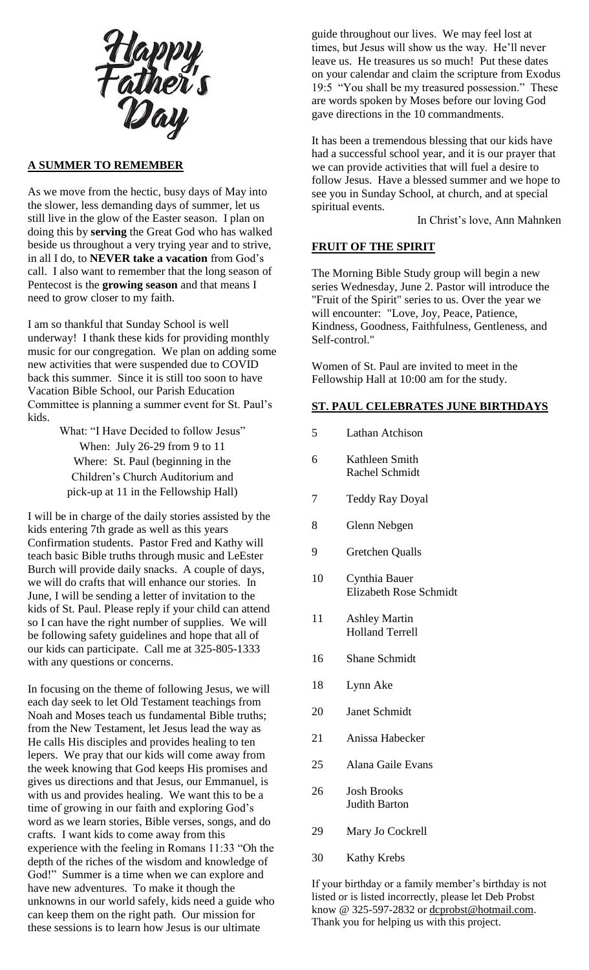Happy<br>Father's<br>Day

#### **A SUMMER TO REMEMBER**

As we move from the hectic, busy days of May into the slower, less demanding days of summer, let us still live in the glow of the Easter season. I plan on doing this by **serving** the Great God who has walked beside us throughout a very trying year and to strive, in all I do, to **NEVER take a vacation** from God's call. I also want to remember that the long season of Pentecost is the **growing season** and that means I need to grow closer to my faith.

I am so thankful that Sunday School is well underway! I thank these kids for providing monthly music for our congregation. We plan on adding some new activities that were suspended due to COVID back this summer. Since it is still too soon to have Vacation Bible School, our Parish Education Committee is planning a summer event for St. Paul's kids.

> What: "I Have Decided to follow Jesus" When: July 26-29 from 9 to 11 Where: St. Paul (beginning in the Children's Church Auditorium and pick-up at 11 in the Fellowship Hall)

I will be in charge of the daily stories assisted by the kids entering 7th grade as well as this years Confirmation students. Pastor Fred and Kathy will teach basic Bible truths through music and LeEster Burch will provide daily snacks. A couple of days, we will do crafts that will enhance our stories. In June, I will be sending a letter of invitation to the kids of St. Paul. Please reply if your child can attend so I can have the right number of supplies. We will be following safety guidelines and hope that all of our kids can participate. Call me at 325-805-1333 with any questions or concerns.

In focusing on the theme of following Jesus, we will each day seek to let Old Testament teachings from Noah and Moses teach us fundamental Bible truths; from the New Testament, let Jesus lead the way as He calls His disciples and provides healing to ten lepers. We pray that our kids will come away from the week knowing that God keeps His promises and gives us directions and that Jesus, our Emmanuel, is with us and provides healing. We want this to be a time of growing in our faith and exploring God's word as we learn stories, Bible verses, songs, and do crafts. I want kids to come away from this experience with the feeling in Romans 11:33 "Oh the depth of the riches of the wisdom and knowledge of God!" Summer is a time when we can explore and have new adventures. To make it though the unknowns in our world safely, kids need a guide who can keep them on the right path. Our mission for these sessions is to learn how Jesus is our ultimate

guide throughout our lives. We may feel lost at times, but Jesus will show us the way. He'll never leave us. He treasures us so much! Put these dates on your calendar and claim the scripture from Exodus 19:5 "You shall be my treasured possession." These are words spoken by Moses before our loving God gave directions in the 10 commandments.

It has been a tremendous blessing that our kids have had a successful school year, and it is our prayer that we can provide activities that will fuel a desire to follow Jesus. Have a blessed summer and we hope to see you in Sunday School, at church, and at special spiritual events.

In Christ's love, Ann Mahnken

#### **FRUIT OF THE SPIRIT**

The Morning Bible Study group will begin a new series Wednesday, June 2. Pastor will introduce the "Fruit of the Spirit" series to us. Over the year we will encounter: "Love, Joy, Peace, Patience, Kindness, Goodness, Faithfulness, Gentleness, and Self-control."

Women of St. Paul are invited to meet in the Fellowship Hall at 10:00 am for the study.

## **ST. PAUL CELEBRATES JUNE BIRTHDAYS**

- 5 Lathan Atchison
- 6 Kathleen Smith Rachel Schmidt
- 7 Teddy Ray Doyal
- 8 Glenn Nebgen
- 9 Gretchen Qualls
- 10 Cynthia Bauer Elizabeth Rose Schmidt
- 11 Ashley Martin Holland Terrell
- 16 Shane Schmidt
- 18 Lynn Ake
- 20 Janet Schmidt
- 21 Anissa Habecker
- 25 Alana Gaile Evans
- 26 Josh Brooks Judith Barton
- 29 Mary Jo Cockrell
- 30 Kathy Krebs

If your birthday or a family member's birthday is not listed or is listed incorrectly, please let Deb Probst know @ 325-597-2832 or dcprobst@hotmail.com. Thank you for helping us with this project.